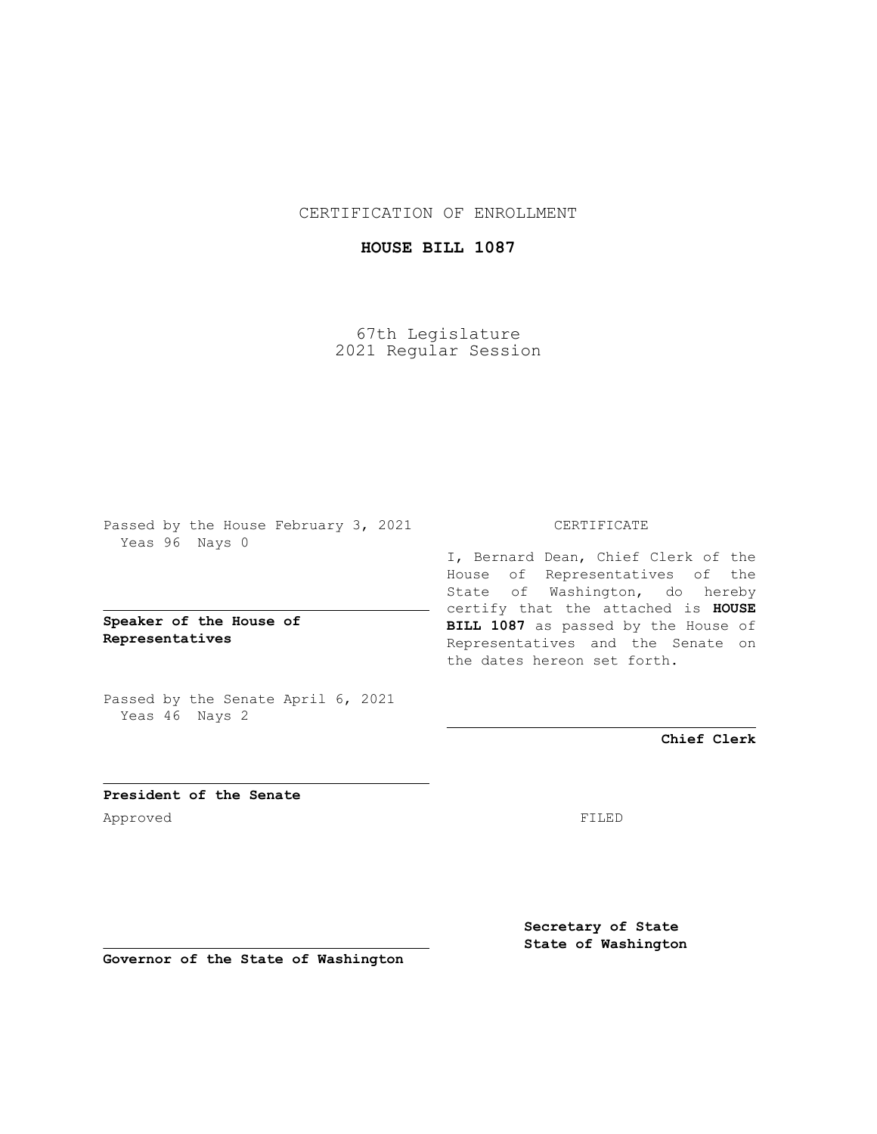CERTIFICATION OF ENROLLMENT

## **HOUSE BILL 1087**

67th Legislature 2021 Regular Session

Passed by the House February 3, 2021 Yeas 96 Nays 0

**Speaker of the House of Representatives**

Passed by the Senate April 6, 2021 Yeas 46 Nays 2

## CERTIFICATE

I, Bernard Dean, Chief Clerk of the House of Representatives of the State of Washington, do hereby certify that the attached is **HOUSE BILL 1087** as passed by the House of Representatives and the Senate on the dates hereon set forth.

**Chief Clerk**

**President of the Senate** Approved FILED

**Secretary of State State of Washington**

**Governor of the State of Washington**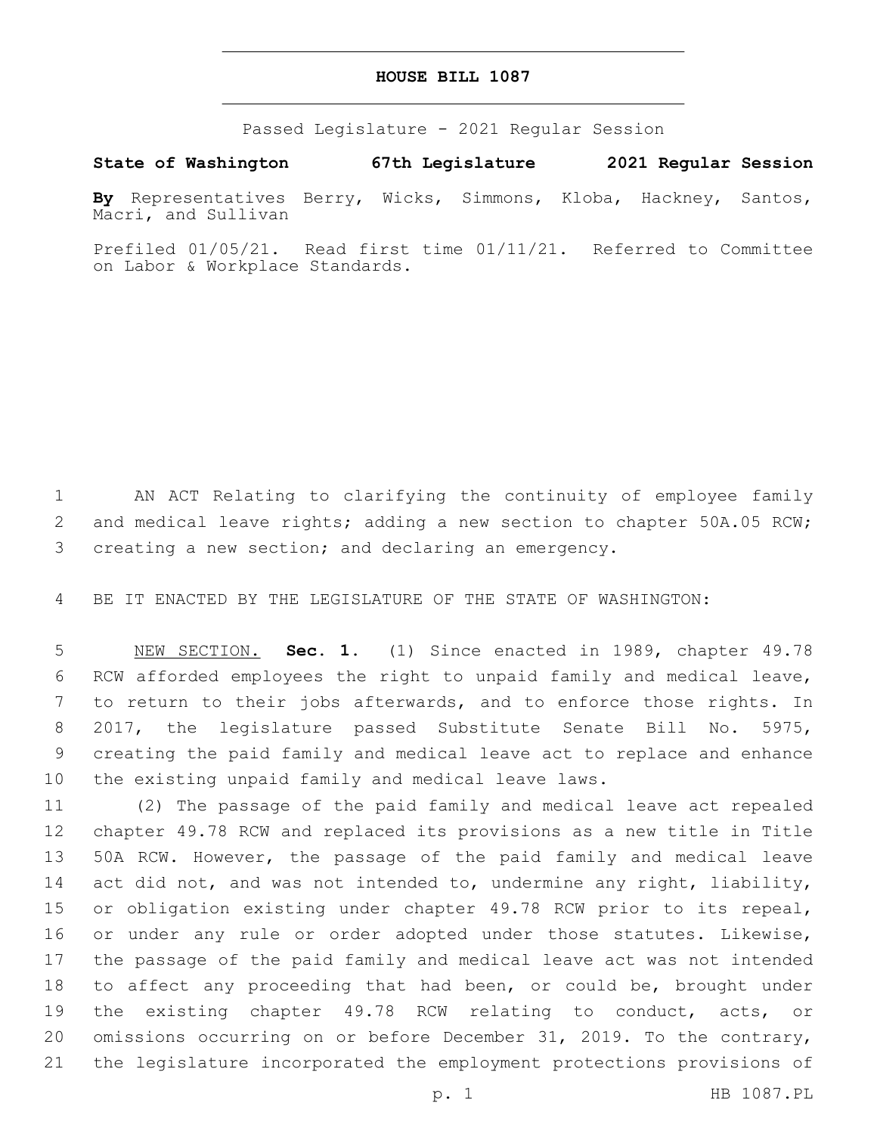## **HOUSE BILL 1087**

Passed Legislature - 2021 Regular Session

**State of Washington 67th Legislature 2021 Regular Session**

**By** Representatives Berry, Wicks, Simmons, Kloba, Hackney, Santos, Macri, and Sullivan

Prefiled 01/05/21. Read first time 01/11/21. Referred to Committee on Labor & Workplace Standards.

 AN ACT Relating to clarifying the continuity of employee family 2 and medical leave rights; adding a new section to chapter 50A.05 RCW; creating a new section; and declaring an emergency.

BE IT ENACTED BY THE LEGISLATURE OF THE STATE OF WASHINGTON:

 NEW SECTION. **Sec. 1.** (1) Since enacted in 1989, chapter 49.78 RCW afforded employees the right to unpaid family and medical leave, to return to their jobs afterwards, and to enforce those rights. In 2017, the legislature passed Substitute Senate Bill No. 5975, creating the paid family and medical leave act to replace and enhance the existing unpaid family and medical leave laws.

 (2) The passage of the paid family and medical leave act repealed chapter 49.78 RCW and replaced its provisions as a new title in Title 50A RCW. However, the passage of the paid family and medical leave 14 act did not, and was not intended to, undermine any right, liability, or obligation existing under chapter 49.78 RCW prior to its repeal, 16 or under any rule or order adopted under those statutes. Likewise, the passage of the paid family and medical leave act was not intended to affect any proceeding that had been, or could be, brought under the existing chapter 49.78 RCW relating to conduct, acts, or omissions occurring on or before December 31, 2019. To the contrary, the legislature incorporated the employment protections provisions of